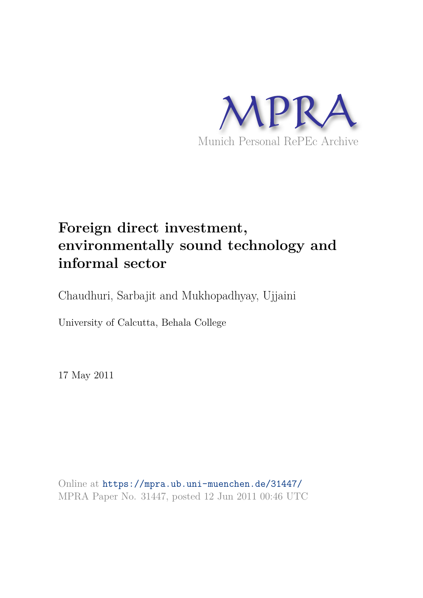

# **Foreign direct investment, environmentally sound technology and informal sector**

Chaudhuri, Sarbajit and Mukhopadhyay, Ujjaini

University of Calcutta, Behala College

17 May 2011

Online at https://mpra.ub.uni-muenchen.de/31447/ MPRA Paper No. 31447, posted 12 Jun 2011 00:46 UTC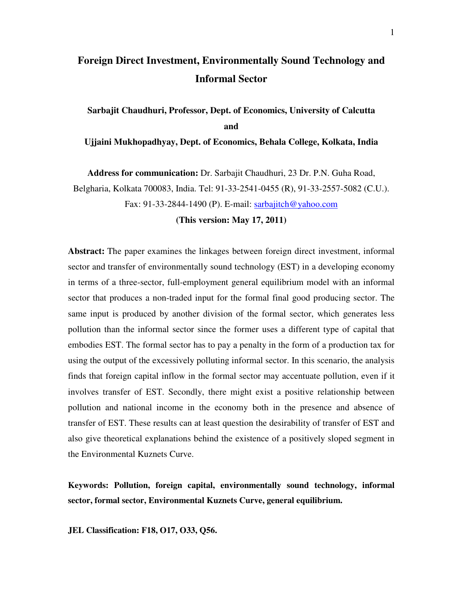# **Foreign Direct Investment, Environmentally Sound Technology and Informal Sector**

**Sarbajit Chaudhuri, Professor, Dept. of Economics, University of Calcutta and** 

**Ujjaini Mukhopadhyay, Dept. of Economics, Behala College, Kolkata, India** 

**Address for communication:** Dr. Sarbajit Chaudhuri, 23 Dr. P.N. Guha Road, Belgharia, Kolkata 700083, India. Tel: 91-33-2541-0455 (R), 91-33-2557-5082 (C.U.). Fax: 91-33-2844-1490 (P). E-mail: sarbajitch@yahoo.com

**(This version: May 17, 2011)** 

**Abstract:** The paper examines the linkages between foreign direct investment, informal sector and transfer of environmentally sound technology (EST) in a developing economy in terms of a three-sector, full-employment general equilibrium model with an informal sector that produces a non-traded input for the formal final good producing sector. The same input is produced by another division of the formal sector, which generates less pollution than the informal sector since the former uses a different type of capital that embodies EST. The formal sector has to pay a penalty in the form of a production tax for using the output of the excessively polluting informal sector. In this scenario, the analysis finds that foreign capital inflow in the formal sector may accentuate pollution, even if it involves transfer of EST. Secondly, there might exist a positive relationship between pollution and national income in the economy both in the presence and absence of transfer of EST. These results can at least question the desirability of transfer of EST and also give theoretical explanations behind the existence of a positively sloped segment in the Environmental Kuznets Curve.

**Keywords: Pollution, foreign capital, environmentally sound technology, informal sector, formal sector, Environmental Kuznets Curve, general equilibrium.** 

**JEL Classification: F18, O17, O33, Q56.**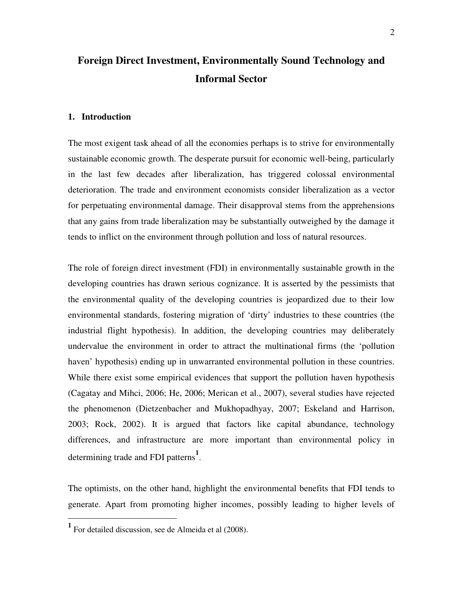# **Foreign Direct Investment, Environmentally Sound Technology and Informal Sector**

#### **1. Introduction**

The most exigent task ahead of all the economies perhaps is to strive for environmentally sustainable economic growth. The desperate pursuit for economic well-being, particularly in the last few decades after liberalization, has triggered colossal environmental deterioration. The trade and environment economists consider liberalization as a vector for perpetuating environmental damage. Their disapproval stems from the apprehensions that any gains from trade liberalization may be substantially outweighed by the damage it tends to inflict on the environment through pollution and loss of natural resources.

The role of foreign direct investment (FDI) in environmentally sustainable growth in the developing countries has drawn serious cognizance. It is asserted by the pessimists that the environmental quality of the developing countries is jeopardized due to their low environmental standards, fostering migration of 'dirty' industries to these countries (the industrial flight hypothesis). In addition, the developing countries may deliberately undervalue the environment in order to attract the multinational firms (the 'pollution haven' hypothesis) ending up in unwarranted environmental pollution in these countries. While there exist some empirical evidences that support the pollution haven hypothesis (Cagatay and Mihci, 2006; He, 2006; Merican et al., 2007), several studies have rejected the phenomenon (Dietzenbacher and Mukhopadhyay, 2007; Eskeland and Harrison, 2003; Rock, 2002). It is argued that factors like capital abundance, technology differences, and infrastructure are more important than environmental policy in determining trade and FDI patterns**<sup>1</sup>** .

The optimists, on the other hand, highlight the environmental benefits that FDI tends to generate. Apart from promoting higher incomes, possibly leading to higher levels of

**<sup>1</sup>** For detailed discussion, see de Almeida et al (2008).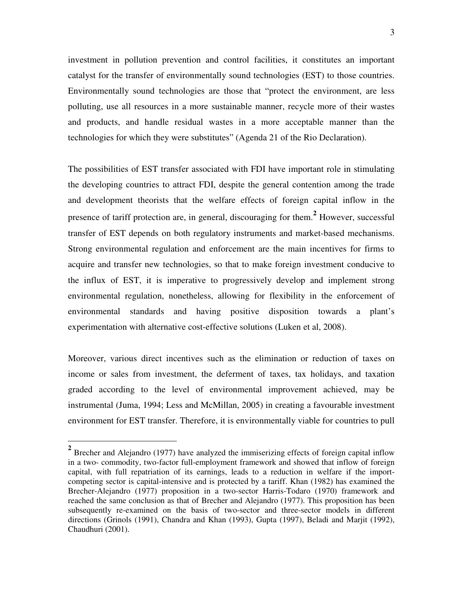investment in pollution prevention and control facilities, it constitutes an important catalyst for the transfer of environmentally sound technologies (EST) to those countries. Environmentally sound technologies are those that "protect the environment, are less polluting, use all resources in a more sustainable manner, recycle more of their wastes and products, and handle residual wastes in a more acceptable manner than the technologies for which they were substitutes" (Agenda 21 of the Rio Declaration).

The possibilities of EST transfer associated with FDI have important role in stimulating the developing countries to attract FDI, despite the general contention among the trade and development theorists that the welfare effects of foreign capital inflow in the presence of tariff protection are, in general, discouraging for them.**<sup>2</sup>** However, successful transfer of EST depends on both regulatory instruments and market-based mechanisms. Strong environmental regulation and enforcement are the main incentives for firms to acquire and transfer new technologies, so that to make foreign investment conducive to the influx of EST, it is imperative to progressively develop and implement strong environmental regulation, nonetheless, allowing for flexibility in the enforcement of environmental standards and having positive disposition towards a plant's experimentation with alternative cost-effective solutions (Luken et al, 2008).

Moreover, various direct incentives such as the elimination or reduction of taxes on income or sales from investment, the deferment of taxes, tax holidays, and taxation graded according to the level of environmental improvement achieved, may be instrumental (Juma, 1994; Less and McMillan, 2005) in creating a favourable investment environment for EST transfer. Therefore, it is environmentally viable for countries to pull

<sup>&</sup>lt;sup>2</sup> Brecher and Alejandro (1977) have analyzed the immiserizing effects of foreign capital inflow in a two- commodity, two-factor full-employment framework and showed that inflow of foreign capital, with full repatriation of its earnings, leads to a reduction in welfare if the importcompeting sector is capital-intensive and is protected by a tariff. Khan (1982) has examined the Brecher-Alejandro (1977) proposition in a two-sector Harris-Todaro (1970) framework and reached the same conclusion as that of Brecher and Alejandro (1977). This proposition has been subsequently re-examined on the basis of two-sector and three-sector models in different directions (Grinols (1991), Chandra and Khan (1993), Gupta (1997), Beladi and Marjit (1992), Chaudhuri (2001).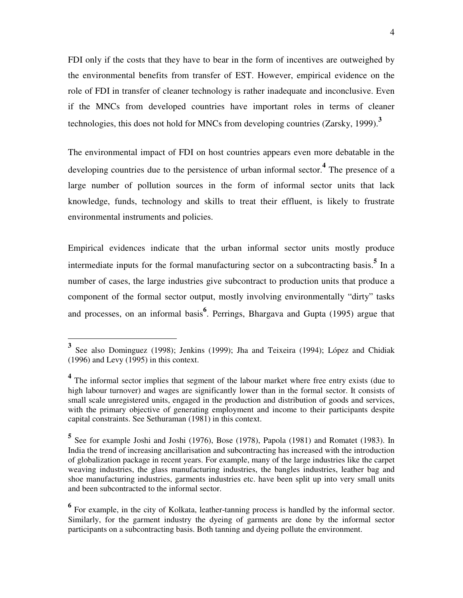FDI only if the costs that they have to bear in the form of incentives are outweighed by the environmental benefits from transfer of EST. However, empirical evidence on the role of FDI in transfer of cleaner technology is rather inadequate and inconclusive. Even if the MNCs from developed countries have important roles in terms of cleaner technologies, this does not hold for MNCs from developing countries (Zarsky, 1999).**<sup>3</sup>**

The environmental impact of FDI on host countries appears even more debatable in the developing countries due to the persistence of urban informal sector.**<sup>4</sup>** The presence of a large number of pollution sources in the form of informal sector units that lack knowledge, funds, technology and skills to treat their effluent, is likely to frustrate environmental instruments and policies.

Empirical evidences indicate that the urban informal sector units mostly produce intermediate inputs for the formal manufacturing sector on a subcontracting basis.<sup>5</sup> In a number of cases, the large industries give subcontract to production units that produce a component of the formal sector output, mostly involving environmentally "dirty" tasks and processes, on an informal basis**<sup>6</sup>** . Perrings, Bhargava and Gupta (1995) argue that

-

**<sup>3</sup>** See also Dominguez (1998); Jenkins (1999); Jha and Teixeira (1994); López and Chidiak (1996) and Levy (1995) in this context.

<sup>&</sup>lt;sup>4</sup> The informal sector implies that segment of the labour market where free entry exists (due to high labour turnover) and wages are significantly lower than in the formal sector. It consists of small scale unregistered units, engaged in the production and distribution of goods and services, with the primary objective of generating employment and income to their participants despite capital constraints. See Sethuraman (1981) in this context.

**<sup>5</sup>** See for example Joshi and Joshi (1976), Bose (1978), Papola (1981) and Romatet (1983). In India the trend of increasing ancillarisation and subcontracting has increased with the introduction of globalization package in recent years. For example, many of the large industries like the carpet weaving industries, the glass manufacturing industries, the bangles industries, leather bag and shoe manufacturing industries, garments industries etc. have been split up into very small units and been subcontracted to the informal sector.

<sup>&</sup>lt;sup>6</sup> For example, in the city of Kolkata, leather-tanning process is handled by the informal sector. Similarly, for the garment industry the dyeing of garments are done by the informal sector participants on a subcontracting basis. Both tanning and dyeing pollute the environment.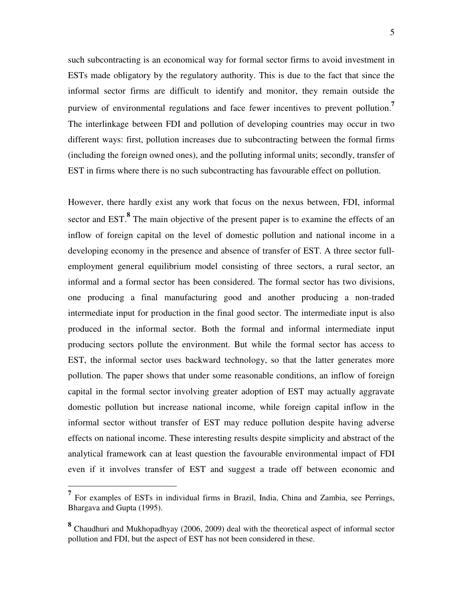such subcontracting is an economical way for formal sector firms to avoid investment in ESTs made obligatory by the regulatory authority. This is due to the fact that since the informal sector firms are difficult to identify and monitor, they remain outside the purview of environmental regulations and face fewer incentives to prevent pollution.**<sup>7</sup>** The interlinkage between FDI and pollution of developing countries may occur in two different ways: first, pollution increases due to subcontracting between the formal firms (including the foreign owned ones), and the polluting informal units; secondly, transfer of EST in firms where there is no such subcontracting has favourable effect on pollution.

However, there hardly exist any work that focus on the nexus between, FDI, informal sector and EST.<sup>8</sup> The main objective of the present paper is to examine the effects of an inflow of foreign capital on the level of domestic pollution and national income in a developing economy in the presence and absence of transfer of EST. A three sector fullemployment general equilibrium model consisting of three sectors, a rural sector, an informal and a formal sector has been considered. The formal sector has two divisions, one producing a final manufacturing good and another producing a non-traded intermediate input for production in the final good sector. The intermediate input is also produced in the informal sector. Both the formal and informal intermediate input producing sectors pollute the environment. But while the formal sector has access to EST, the informal sector uses backward technology, so that the latter generates more pollution. The paper shows that under some reasonable conditions, an inflow of foreign capital in the formal sector involving greater adoption of EST may actually aggravate domestic pollution but increase national income, while foreign capital inflow in the informal sector without transfer of EST may reduce pollution despite having adverse effects on national income. These interesting results despite simplicity and abstract of the analytical framework can at least question the favourable environmental impact of FDI even if it involves transfer of EST and suggest a trade off between economic and

**<sup>7</sup>** For examples of ESTs in individual firms in Brazil, India, China and Zambia, see Perrings, Bhargava and Gupta (1995).

**<sup>8</sup>** Chaudhuri and Mukhopadhyay (2006, 2009) deal with the theoretical aspect of informal sector pollution and FDI, but the aspect of EST has not been considered in these.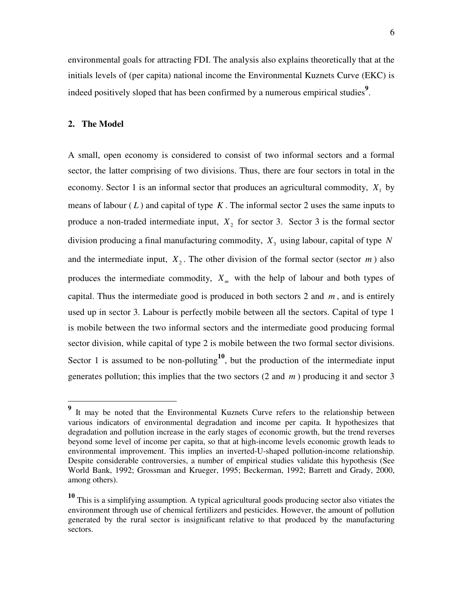environmental goals for attracting FDI. The analysis also explains theoretically that at the initials levels of (per capita) national income the Environmental Kuznets Curve (EKC) is indeed positively sloped that has been confirmed by a numerous empirical studies<sup>9</sup>.

## **2. The Model**

-

A small, open economy is considered to consist of two informal sectors and a formal sector, the latter comprising of two divisions. Thus, there are four sectors in total in the economy. Sector 1 is an informal sector that produces an agricultural commodity,  $X_1$  by means of labour  $(L)$  and capital of type  $K$ . The informal sector 2 uses the same inputs to produce a non-traded intermediate input,  $X_2$  for sector 3. Sector 3 is the formal sector division producing a final manufacturing commodity, *X*<sup>3</sup> using labour, capital of type *N* and the intermediate input,  $X_2$ . The other division of the formal sector (sector  $m$ ) also produces the intermediate commodity, *X <sup>m</sup>* with the help of labour and both types of capital. Thus the intermediate good is produced in both sectors 2 and *m* , and is entirely used up in sector 3. Labour is perfectly mobile between all the sectors. Capital of type 1 is mobile between the two informal sectors and the intermediate good producing formal sector division, while capital of type 2 is mobile between the two formal sector divisions. Sector 1 is assumed to be non-polluting<sup>10</sup>, but the production of the intermediate input generates pollution; this implies that the two sectors (2 and *m* ) producing it and sector 3

**<sup>9</sup>** It may be noted that the Environmental Kuznets Curve refers to the relationship between various indicators of environmental degradation and income per capita. It hypothesizes that degradation and pollution increase in the early stages of economic growth, but the trend reverses beyond some level of income per capita, so that at high-income levels economic growth leads to environmental improvement. This implies an inverted-U-shaped pollution-income relationship. Despite considerable controversies, a number of empirical studies validate this hypothesis (See World Bank, 1992; Grossman and Krueger, 1995; Beckerman, 1992; Barrett and Grady, 2000, among others).

**<sup>10</sup>** This is a simplifying assumption. A typical agricultural goods producing sector also vitiates the environment through use of chemical fertilizers and pesticides. However, the amount of pollution generated by the rural sector is insignificant relative to that produced by the manufacturing sectors.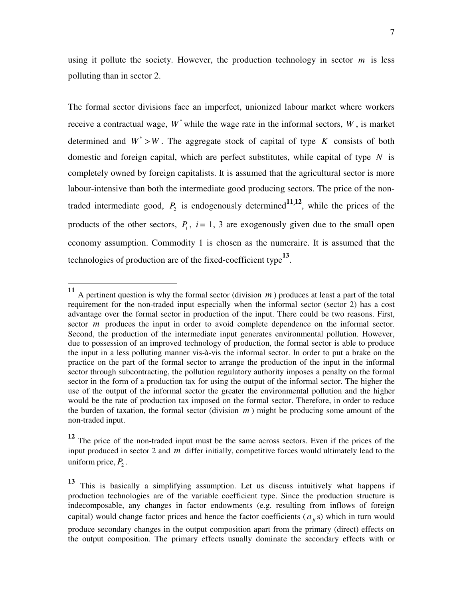using it pollute the society. However, the production technology in sector *m* is less polluting than in sector 2.

The formal sector divisions face an imperfect, unionized labour market where workers receive a contractual wage,  $W^*$  while the wage rate in the informal sectors,  $W$ , is market determined and  $W^* > W$ . The aggregate stock of capital of type *K* consists of both domestic and foreign capital, which are perfect substitutes, while capital of type *N* is completely owned by foreign capitalists. It is assumed that the agricultural sector is more labour-intensive than both the intermediate good producing sectors. The price of the nontraded intermediate good,  $P_2$  is endogenously determined  $P_1$ , while the prices of the products of the other sectors,  $P_i$ ,  $i = 1, 3$  are exogenously given due to the small open economy assumption. Commodity 1 is chosen as the numeraire. It is assumed that the technologies of production are of the fixed-coefficient type**<sup>13</sup>** .

 $\overline{a}$ 

the output composition. The primary effects usually dominate the secondary effects with or

**<sup>11</sup>** A pertinent question is why the formal sector (division *m* ) produces at least a part of the total requirement for the non-traded input especially when the informal sector (sector 2) has a cost advantage over the formal sector in production of the input. There could be two reasons. First, sector *m* produces the input in order to avoid complete dependence on the informal sector. Second, the production of the intermediate input generates environmental pollution. However, due to possession of an improved technology of production, the formal sector is able to produce the input in a less polluting manner vis-à-vis the informal sector. In order to put a brake on the practice on the part of the formal sector to arrange the production of the input in the informal sector through subcontracting, the pollution regulatory authority imposes a penalty on the formal sector in the form of a production tax for using the output of the informal sector. The higher the use of the output of the informal sector the greater the environmental pollution and the higher would be the rate of production tax imposed on the formal sector. Therefore, in order to reduce the burden of taxation, the formal sector (division *m* ) might be producing some amount of the non-traded input.

**<sup>12</sup>** The price of the non-traded input must be the same across sectors. Even if the prices of the input produced in sector 2 and *m* differ initially, competitive forces would ultimately lead to the uniform price,  $P_2$ .

**<sup>13</sup>** This is basically a simplifying assumption. Let us discuss intuitively what happens if production technologies are of the variable coefficient type. Since the production structure is indecomposable, any changes in factor endowments (e.g. resulting from inflows of foreign capital) would change factor prices and hence the factor coefficients  $(a_{ii}, s)$  which in turn would produce secondary changes in the output composition apart from the primary (direct) effects on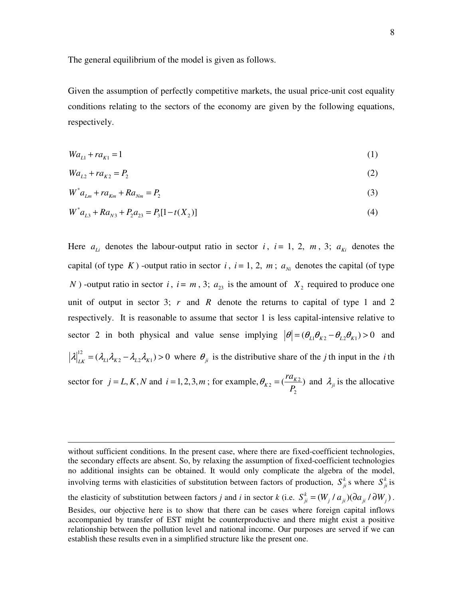The general equilibrium of the model is given as follows.

Given the assumption of perfectly competitive markets, the usual price-unit cost equality conditions relating to the sectors of the economy are given by the following equations, respectively.

$$
Wa_{L1} + ra_{K1} = 1 \tag{1}
$$

$$
Wa_{L2} + ra_{K2} = P_2 \tag{2}
$$

$$
W^* a_{Lm} + r a_{Km} + R a_{Nm} = P_2 \tag{3}
$$

$$
W^* a_{L3} + R a_{N3} + P_2 a_{23} = P_3 [1 - t(X_2)] \tag{4}
$$

Here  $a_{Li}$  denotes the labour-output ratio in sector *i*, *i* = 1, 2, *m*, 3;  $a_{Ki}$  denotes the capital (of type *K*) -output ratio in sector *i*,  $i = 1, 2, m$ ;  $a_{ni}$  denotes the capital (of type *N*) -output ratio in sector *i*,  $i = m$ , 3;  $a_{23}$  is the amount of  $X_2$  required to produce one unit of output in sector 3;  $r$  and  $R$  denote the returns to capital of type 1 and 2 respectively. It is reasonable to assume that sector 1 is less capital-intensive relative to sector 2 in both physical and value sense implying  $|\theta| = (\theta_{L1}\theta_{K2} - \theta_{L2}\theta_{K1}) > 0$  and  $|\lambda|_{LK}^{12} = (\lambda_{L1}\lambda_{K2} - \lambda_{L2}\lambda_{K1}) > 0$  where  $\theta_{ji}$  is the distributive share of the *j* th input in the *i* th sector for  $j = L, K, N$  and  $i = 1, 2, 3, m$ ; for example,  $\theta_{K2} = (\frac{7\alpha_{K2}}{R})$ 2  $V_{K2} = (\frac{r u_{K2}}{R})$ *ra*  $heta_{K2} = \left(\frac{R_{K2}}{P_2}\right)$  and  $\lambda_{ji}$  is the allocative

without sufficient conditions. In the present case, where there are fixed-coefficient technologies, the secondary effects are absent. So, by relaxing the assumption of fixed-coefficient technologies no additional insights can be obtained. It would only complicate the algebra of the model, involving terms with elasticities of substitution between factors of production,  $S_{ji}^k$  s where  $S_{ji}^k$  is the elasticity of substitution between factors *j* and *i* in sector *k* (i.e.  $S_{ji}^k = (W_j / a_{ji})(\partial a_{ji} / \partial W_j)$ . Besides, our objective here is to show that there can be cases where foreign capital inflows accompanied by transfer of EST might be counterproductive and there might exist a positive relationship between the pollution level and national income. Our purposes are served if we can establish these results even in a simplified structure like the present one.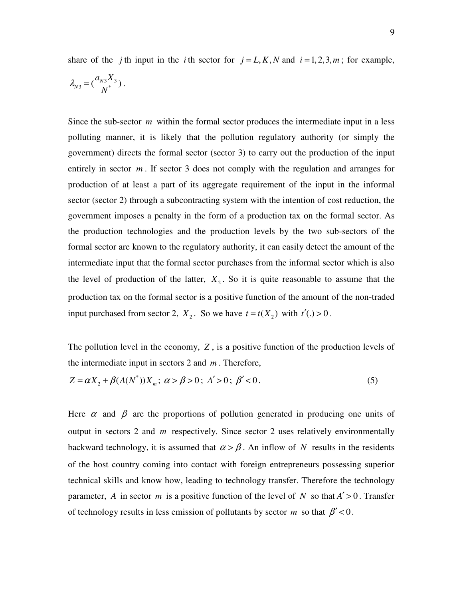share of the *j* th input in the *i* th sector for  $j = L, K, N$  and  $i = 1, 2, 3, m$ ; for example,

$$
\lambda_{N3} = \left(\frac{a_{N3}X_3}{N^*}\right).
$$

Since the sub-sector *m* within the formal sector produces the intermediate input in a less polluting manner, it is likely that the pollution regulatory authority (or simply the government) directs the formal sector (sector 3) to carry out the production of the input entirely in sector  $m$ . If sector 3 does not comply with the regulation and arranges for production of at least a part of its aggregate requirement of the input in the informal sector (sector 2) through a subcontracting system with the intention of cost reduction, the government imposes a penalty in the form of a production tax on the formal sector. As the production technologies and the production levels by the two sub-sectors of the formal sector are known to the regulatory authority, it can easily detect the amount of the intermediate input that the formal sector purchases from the informal sector which is also the level of production of the latter,  $X_2$ . So it is quite reasonable to assume that the production tax on the formal sector is a positive function of the amount of the non-traded input purchased from sector 2,  $X_2$ . So we have  $t = t(X_2)$  with  $t'(.) > 0$ .

The pollution level in the economy, *Z* , is a positive function of the production levels of the intermediate input in sectors 2 and *m* . Therefore,

$$
Z = \alpha X_2 + \beta (A(N^*)) X_m; \ \alpha > \beta > 0; \ A' > 0; \ \beta' < 0. \tag{5}
$$

Here  $\alpha$  and  $\beta$  are the proportions of pollution generated in producing one units of output in sectors 2 and *m* respectively. Since sector 2 uses relatively environmentally backward technology, it is assumed that  $\alpha > \beta$ . An inflow of *N* results in the residents of the host country coming into contact with foreign entrepreneurs possessing superior technical skills and know how, leading to technology transfer. Therefore the technology parameter, *A* in sector *m* is a positive function of the level of *N* so that  $A' > 0$ . Transfer of technology results in less emission of pollutants by sector *m* so that  $\beta' < 0$ .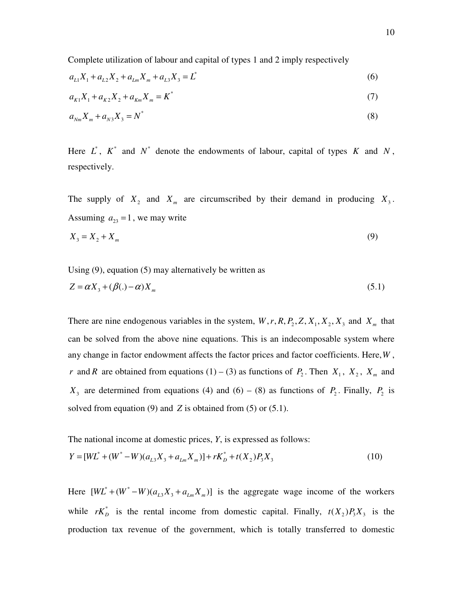Complete utilization of labour and capital of types 1 and 2 imply respectively

$$
a_{L1}X_1 + a_{L2}X_2 + a_{Lm}X_m + a_{L3}X_3 = L^* \tag{6}
$$

$$
a_{K1}X_1 + a_{K2}X_2 + a_{Km}X_m = K^*
$$
\n(7)

$$
a_{Nm} X_m + a_{N3} X_3 = N^* \tag{8}
$$

Here  $L^*$ ,  $K^*$  and  $N^*$  denote the endowments of labour, capital of types  $K$  and  $N$ , respectively.

The supply of  $X_2$  and  $X_m$  are circumscribed by their demand in producing  $X_3$ . Assuming  $a_{23} = 1$ , we may write

$$
X_3 = X_2 + X_m \tag{9}
$$

Using (9), equation (5) may alternatively be written as  $\mathbf{X} \cdot (\mathbf{R}^2)$  **z** 

$$
Z = \alpha X_3 + (\beta(.) - \alpha) X_m \tag{5.1}
$$

There are nine endogenous variables in the system,  $W, r, R, P_2, Z, X_1, X_2, X_3$  and  $X_m$  that can be solved from the above nine equations. This is an indecomposable system where any change in factor endowment affects the factor prices and factor coefficients. Here,*W* , *r* and *R* are obtained from equations (1) – (3) as functions of  $P_2$ . Then  $X_1$ ,  $X_2$ ,  $X_m$  and  $X_3$  are determined from equations (4) and (6) – (8) as functions of  $P_2$ . Finally,  $P_2$  is solved from equation (9) and *Z* is obtained from (5) or (5.1).

The national income at domestic prices, *Y*, is expressed as follows:

$$
Y = [WL^* + (W^* - W)(a_{L3}X_3 + a_{Lm}X_m)] + rK_D^* + t(X_2)P_3X_3
$$
\n(10)

Here  $[WL^* + (W^* - W)(a_{L3}X_3 + a_{Lm}X_m)]$  is the aggregate wage income of the workers while  $rK_D^*$  is the rental income from domestic capital. Finally,  $t(X_2)P_3X_3$  is the production tax revenue of the government, which is totally transferred to domestic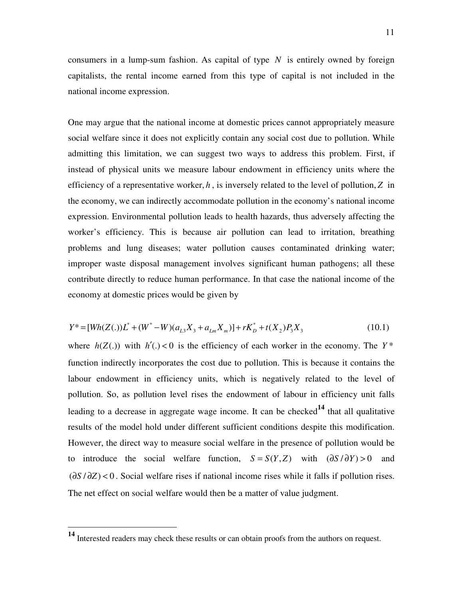consumers in a lump-sum fashion. As capital of type *N* is entirely owned by foreign capitalists, the rental income earned from this type of capital is not included in the national income expression.

One may argue that the national income at domestic prices cannot appropriately measure social welfare since it does not explicitly contain any social cost due to pollution. While admitting this limitation, we can suggest two ways to address this problem. First, if instead of physical units we measure labour endowment in efficiency units where the efficiency of a representative worker, *h* , is inversely related to the level of pollution, *Z* in the economy, we can indirectly accommodate pollution in the economy's national income expression. Environmental pollution leads to health hazards, thus adversely affecting the worker's efficiency. This is because air pollution can lead to irritation, breathing problems and lung diseases; water pollution causes contaminated drinking water; improper waste disposal management involves significant human pathogens; all these contribute directly to reduce human performance. In that case the national income of the economy at domestic prices would be given by

$$
Y^* = [Wh(Z(.))L^* + (W^* - W)(a_{L3}X_3 + a_{Lm}X_m)] + rK_D^* + t(X_2)P_3X_3
$$
\n(10.1)

where  $h(Z(.))$  with  $h'(.) < 0$  is the efficiency of each worker in the economy. The  $Y^*$ function indirectly incorporates the cost due to pollution. This is because it contains the labour endowment in efficiency units, which is negatively related to the level of pollution. So, as pollution level rises the endowment of labour in efficiency unit falls leading to a decrease in aggregate wage income. It can be checked**14** that all qualitative results of the model hold under different sufficient conditions despite this modification. However, the direct way to measure social welfare in the presence of pollution would be to introduce the social welfare function,  $S = S(Y, Z)$  with  $(\partial S / \partial Y) > 0$  and  $(\partial S / \partial Z)$  < 0. Social welfare rises if national income rises while it falls if pollution rises. The net effect on social welfare would then be a matter of value judgment.

<u>.</u>

**<sup>14</sup>** Interested readers may check these results or can obtain proofs from the authors on request.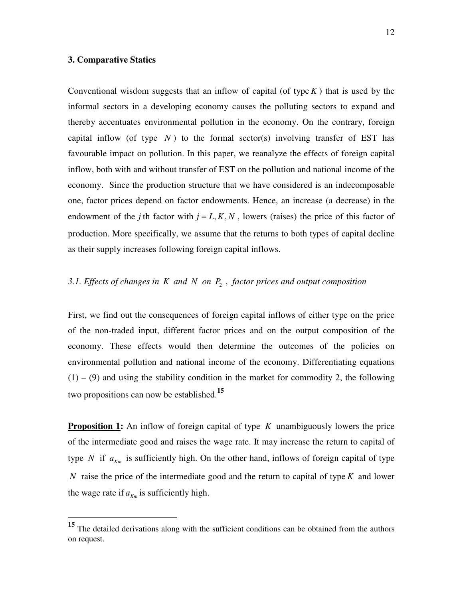# **3. Comparative Statics**

 $\overline{a}$ 

Conventional wisdom suggests that an inflow of capital (of type  $K$ ) that is used by the informal sectors in a developing economy causes the polluting sectors to expand and thereby accentuates environmental pollution in the economy. On the contrary, foreign capital inflow (of type  $N$ ) to the formal sector(s) involving transfer of EST has favourable impact on pollution. In this paper, we reanalyze the effects of foreign capital inflow, both with and without transfer of EST on the pollution and national income of the economy. Since the production structure that we have considered is an indecomposable one, factor prices depend on factor endowments. Hence, an increase (a decrease) in the endowment of the *j* th factor with  $j = L, K, N$ , lowers (raises) the price of this factor of production. More specifically, we assume that the returns to both types of capital decline as their supply increases following foreign capital inflows.

# *3.1. Effects of changes in K and N on P*<sup>2</sup> , *factor prices and output composition*

First, we find out the consequences of foreign capital inflows of either type on the price of the non-traded input, different factor prices and on the output composition of the economy. These effects would then determine the outcomes of the policies on environmental pollution and national income of the economy. Differentiating equations  $(1) - (9)$  and using the stability condition in the market for commodity 2, the following two propositions can now be established.**<sup>15</sup>**

**Proposition 1:** An inflow of foreign capital of type *K* unambiguously lowers the price of the intermediate good and raises the wage rate. It may increase the return to capital of type *N* if  $a_{K_m}$  is sufficiently high. On the other hand, inflows of foreign capital of type *N* raise the price of the intermediate good and the return to capital of type *K* and lower the wage rate if  $a_{km}$  is sufficiently high.

**<sup>15</sup>** The detailed derivations along with the sufficient conditions can be obtained from the authors on request.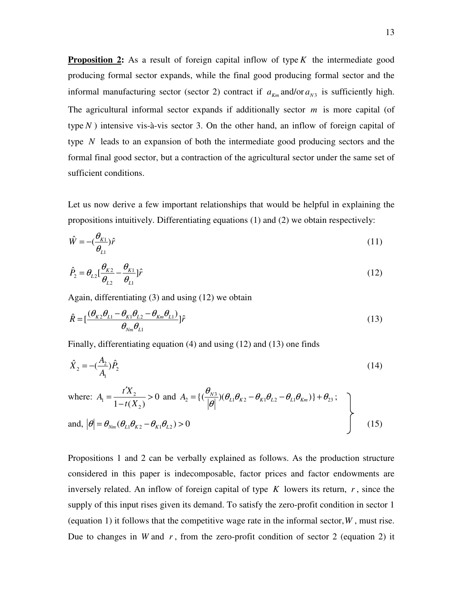**Proposition 2:** As a result of foreign capital inflow of type K the intermediate good producing formal sector expands, while the final good producing formal sector and the informal manufacturing sector (sector 2) contract if  $a_{km}$  and/or  $a_{N3}$  is sufficiently high. The agricultural informal sector expands if additionally sector *m* is more capital (of type *N* ) intensive vis-à-vis sector 3. On the other hand, an inflow of foreign capital of type *N* leads to an expansion of both the intermediate good producing sectors and the formal final good sector, but a contraction of the agricultural sector under the same set of sufficient conditions.

Let us now derive a few important relationships that would be helpful in explaining the propositions intuitively. Differentiating equations (1) and (2) we obtain respectively:

$$
\hat{W} = -(\frac{\theta_{K1}}{\theta_{L1}})\hat{r}
$$
\n(11)

$$
\hat{P}_2 = \theta_{L2} \left[ \frac{\theta_{K2}}{\theta_{L2}} - \frac{\theta_{K1}}{\theta_{L1}} \right] \hat{r}
$$
\n(12)

Again, differentiating (3) and using (12) we obtain

$$
\hat{R} = \left[\frac{(\theta_{K2}\theta_{L1} - \theta_{K1}\theta_{L2} - \theta_{Km}\theta_{L1})}{\theta_{Nm}\theta_{L1}}\right]\hat{r}
$$
\n(13)

Finally, differentiating equation (4) and using (12) and (13) one finds

$$
\hat{X}_2 = -\left(\frac{A_2}{A_1}\right)\hat{P}_2\tag{14}
$$

where: 
$$
A_1 = \frac{t'X_2}{1 - t(X_2)} > 0
$$
 and  $A_2 = \{(\frac{\theta_{N3}}{|\theta|})(\theta_{L1}\theta_{K2} - \theta_{K1}\theta_{L2} - \theta_{L1}\theta_{Km})\} + \theta_{23}$ ;  
and,  $|\theta| = \theta_{Nm}(\theta_{L1}\theta_{K2} - \theta_{K1}\theta_{L2}) > 0$  (15)

Propositions 1 and 2 can be verbally explained as follows. As the production structure considered in this paper is indecomposable, factor prices and factor endowments are inversely related. An inflow of foreign capital of type  $K$  lowers its return,  $r$ , since the supply of this input rises given its demand. To satisfy the zero-profit condition in sector 1 (equation 1) it follows that the competitive wage rate in the informal sector,*W* , must rise. Due to changes in *W* and *r* , from the zero-profit condition of sector 2 (equation 2) it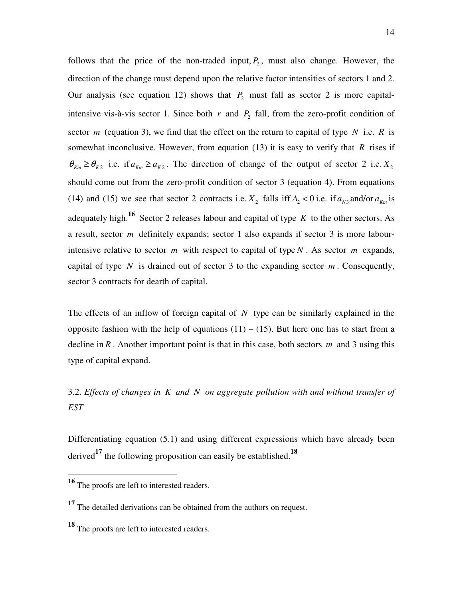follows that the price of the non-traded input,  $P_2$ , must also change. However, the direction of the change must depend upon the relative factor intensities of sectors 1 and 2. Our analysis (see equation 12) shows that  $P_2$  must fall as sector 2 is more capitalintensive vis-à-vis sector 1. Since both  $r$  and  $P_2$  fall, from the zero-profit condition of sector *m* (equation 3), we find that the effect on the return to capital of type N i.e. R is somewhat inconclusive. However, from equation (13) it is easy to verify that *R* rises if  $\theta_{K_m} \ge \theta_{K2}$  i.e. if  $a_{K_m} \ge a_{K2}$ . The direction of change of the output of sector 2 i.e.  $X_2$ should come out from the zero-profit condition of sector 3 (equation 4). From equations (14) and (15) we see that sector 2 contracts i.e.  $X_2$  falls if  $A_2 < 0$  i.e. if  $a_{N3}$  and/or  $a_{Km}$  is adequately high.**16** Sector 2 releases labour and capital of type *K* to the other sectors. As a result, sector *m* definitely expands; sector 1 also expands if sector 3 is more labourintensive relative to sector *m* with respect to capital of type *N* . As sector *m* expands, capital of type  $N$  is drained out of sector 3 to the expanding sector  $m$ . Consequently, sector 3 contracts for dearth of capital.

The effects of an inflow of foreign capital of *N* type can be similarly explained in the opposite fashion with the help of equations  $(11) - (15)$ . But here one has to start from a decline in *R* . Another important point is that in this case, both sectors *m* and 3 using this type of capital expand.

# 3.2. *Effects of changes in K and N on aggregate pollution with and without transfer of EST*

Differentiating equation (5.1) and using different expressions which have already been derived**17** the following proposition can easily be established.**<sup>18</sup>**

-

**<sup>16</sup>** The proofs are left to interested readers.

**<sup>17</sup>** The detailed derivations can be obtained from the authors on request.

**<sup>18</sup>** The proofs are left to interested readers.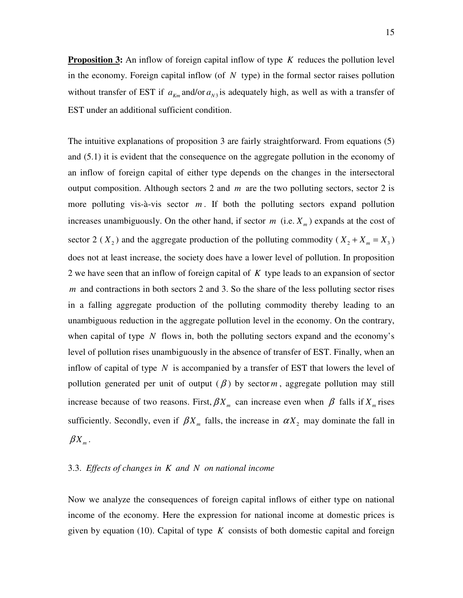**Proposition 3:** An inflow of foreign capital inflow of type *K* reduces the pollution level in the economy. Foreign capital inflow (of *N* type) in the formal sector raises pollution without transfer of EST if  $a_{km}$  and/or  $a_{N3}$  is adequately high, as well as with a transfer of EST under an additional sufficient condition.

The intuitive explanations of proposition 3 are fairly straightforward. From equations (5) and (5.1) it is evident that the consequence on the aggregate pollution in the economy of an inflow of foreign capital of either type depends on the changes in the intersectoral output composition. Although sectors 2 and *m* are the two polluting sectors, sector 2 is more polluting vis-à-vis sector *m* . If both the polluting sectors expand pollution increases unambiguously. On the other hand, if sector  $m$  (i.e.  $X_m$ ) expands at the cost of sector 2 ( $X_2$ ) and the aggregate production of the polluting commodity ( $X_2 + X_m = X_3$ ) does not at least increase, the society does have a lower level of pollution. In proposition 2 we have seen that an inflow of foreign capital of *K* type leads to an expansion of sector *m* and contractions in both sectors 2 and 3. So the share of the less polluting sector rises in a falling aggregate production of the polluting commodity thereby leading to an unambiguous reduction in the aggregate pollution level in the economy. On the contrary, when capital of type *N* flows in, both the polluting sectors expand and the economy's level of pollution rises unambiguously in the absence of transfer of EST. Finally, when an inflow of capital of type *N* is accompanied by a transfer of EST that lowers the level of pollution generated per unit of output  $(\beta)$  by sectorm, aggregate pollution may still increase because of two reasons. First,  $\beta X_m$  can increase even when  $\beta$  falls if  $X_m$  rises sufficiently. Secondly, even if  $\beta X_m$  falls, the increase in  $\alpha X_2$  may dominate the fall in  $\beta X_{_m}.$ 

## 3.3. *Effects of changes in K and N on national income*

Now we analyze the consequences of foreign capital inflows of either type on national income of the economy. Here the expression for national income at domestic prices is given by equation (10). Capital of type *K* consists of both domestic capital and foreign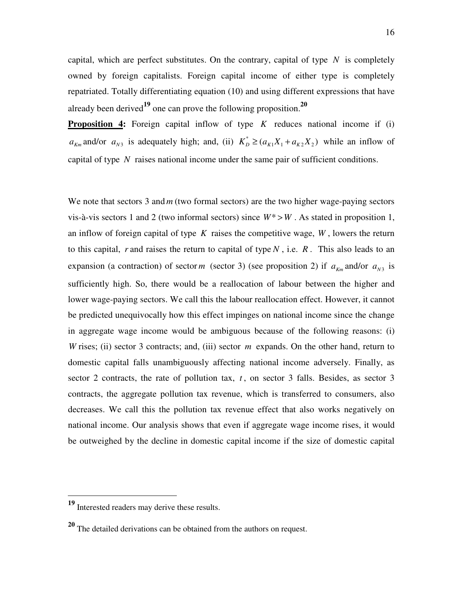capital, which are perfect substitutes. On the contrary, capital of type  $N$  is completely owned by foreign capitalists. Foreign capital income of either type is completely repatriated. Totally differentiating equation (10) and using different expressions that have already been derived**19** one can prove the following proposition.**<sup>20</sup>**

**Proposition 4:** Foreign capital inflow of type *K* reduces national income if (i)  $a_{km}$  and/or  $a_{N3}$  is adequately high; and, (ii)  $K_D^* \ge (a_{K1}X_1 + a_{K2}X_2)$  while an inflow of capital of type *N* raises national income under the same pair of sufficient conditions.

We note that sectors 3 and *m* (two formal sectors) are the two higher wage-paying sectors vis-à-vis sectors 1 and 2 (two informal sectors) since  $W^* > W$ . As stated in proposition 1, an inflow of foreign capital of type *K* raises the competitive wage, *W* , lowers the return to this capital, *r* and raises the return to capital of type *N* , i.e. *R* . This also leads to an expansion (a contraction) of sector *m* (sector 3) (see proposition 2) if  $a_{km}$  and/or  $a_{N3}$  is sufficiently high. So, there would be a reallocation of labour between the higher and lower wage-paying sectors. We call this the labour reallocation effect. However, it cannot be predicted unequivocally how this effect impinges on national income since the change in aggregate wage income would be ambiguous because of the following reasons: (i) *W* rises; (ii) sector 3 contracts; and, (iii) sector *m* expands. On the other hand, return to domestic capital falls unambiguously affecting national income adversely. Finally, as sector 2 contracts, the rate of pollution tax,  $t$ , on sector 3 falls. Besides, as sector 3 contracts, the aggregate pollution tax revenue, which is transferred to consumers, also decreases. We call this the pollution tax revenue effect that also works negatively on national income. Our analysis shows that even if aggregate wage income rises, it would be outweighed by the decline in domestic capital income if the size of domestic capital

**<sup>19</sup>** Interested readers may derive these results.

**<sup>20</sup>** The detailed derivations can be obtained from the authors on request.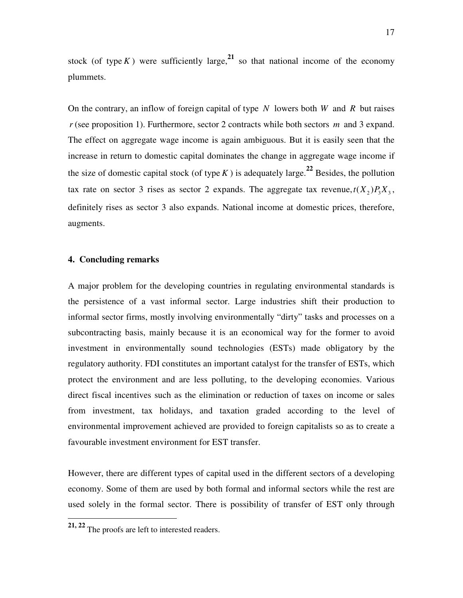stock (of type *K*) were sufficiently large,<sup>21</sup> so that national income of the economy plummets.

On the contrary, an inflow of foreign capital of type *N* lowers both *W* and *R* but raises *r* (see proposition 1). Furthermore, sector 2 contracts while both sectors *m* and 3 expand. The effect on aggregate wage income is again ambiguous. But it is easily seen that the increase in return to domestic capital dominates the change in aggregate wage income if the size of domestic capital stock (of type  $K$ ) is adequately large.<sup>22</sup> Besides, the pollution tax rate on sector 3 rises as sector 2 expands. The aggregate tax revenue,  $t(X_2)P_3X_3$ , definitely rises as sector 3 also expands. National income at domestic prices, therefore, augments.

## **4. Concluding remarks**

A major problem for the developing countries in regulating environmental standards is the persistence of a vast informal sector. Large industries shift their production to informal sector firms, mostly involving environmentally "dirty" tasks and processes on a subcontracting basis, mainly because it is an economical way for the former to avoid investment in environmentally sound technologies (ESTs) made obligatory by the regulatory authority. FDI constitutes an important catalyst for the transfer of ESTs, which protect the environment and are less polluting, to the developing economies. Various direct fiscal incentives such as the elimination or reduction of taxes on income or sales from investment, tax holidays, and taxation graded according to the level of environmental improvement achieved are provided to foreign capitalists so as to create a favourable investment environment for EST transfer.

However, there are different types of capital used in the different sectors of a developing economy. Some of them are used by both formal and informal sectors while the rest are used solely in the formal sector. There is possibility of transfer of EST only through

-

**<sup>21, 22</sup>** The proofs are left to interested readers.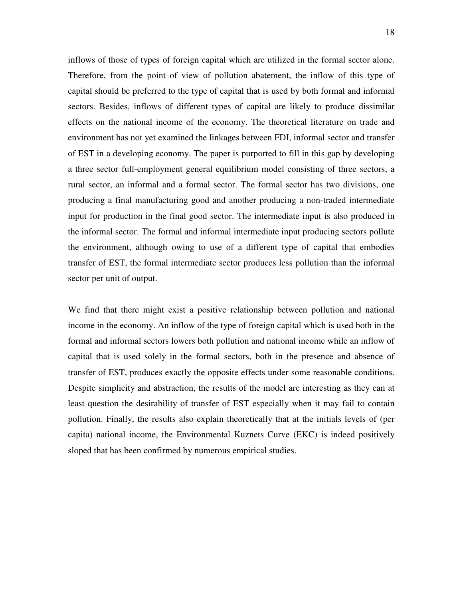inflows of those of types of foreign capital which are utilized in the formal sector alone. Therefore, from the point of view of pollution abatement, the inflow of this type of capital should be preferred to the type of capital that is used by both formal and informal sectors. Besides, inflows of different types of capital are likely to produce dissimilar effects on the national income of the economy. The theoretical literature on trade and environment has not yet examined the linkages between FDI, informal sector and transfer of EST in a developing economy. The paper is purported to fill in this gap by developing a three sector full-employment general equilibrium model consisting of three sectors, a rural sector, an informal and a formal sector. The formal sector has two divisions, one producing a final manufacturing good and another producing a non-traded intermediate input for production in the final good sector. The intermediate input is also produced in the informal sector. The formal and informal intermediate input producing sectors pollute the environment, although owing to use of a different type of capital that embodies transfer of EST, the formal intermediate sector produces less pollution than the informal sector per unit of output.

We find that there might exist a positive relationship between pollution and national income in the economy. An inflow of the type of foreign capital which is used both in the formal and informal sectors lowers both pollution and national income while an inflow of capital that is used solely in the formal sectors, both in the presence and absence of transfer of EST, produces exactly the opposite effects under some reasonable conditions. Despite simplicity and abstraction, the results of the model are interesting as they can at least question the desirability of transfer of EST especially when it may fail to contain pollution. Finally, the results also explain theoretically that at the initials levels of (per capita) national income, the Environmental Kuznets Curve (EKC) is indeed positively sloped that has been confirmed by numerous empirical studies.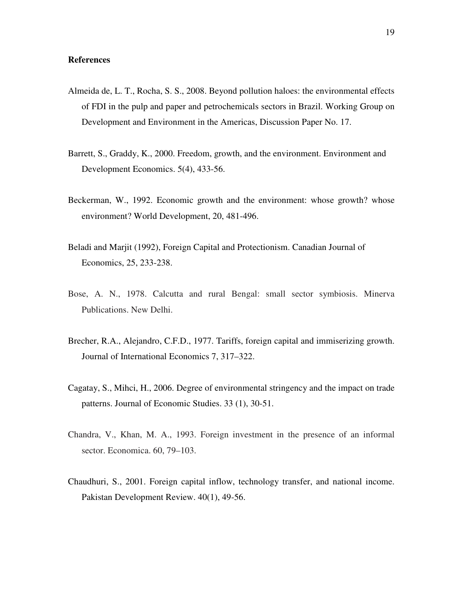### **References**

- Almeida de, L. T., Rocha, S. S., 2008. Beyond pollution haloes: the environmental effects of FDI in the pulp and paper and petrochemicals sectors in Brazil. Working Group on Development and Environment in the Americas, Discussion Paper No. 17.
- Barrett, S., Graddy, K., 2000. Freedom, growth, and the environment. Environment and Development Economics. 5(4), 433-56.
- Beckerman, W., 1992. Economic growth and the environment: whose growth? whose environment? World Development, 20, 481-496.
- Beladi and Marjit (1992), Foreign Capital and Protectionism. Canadian Journal of Economics, 25, 233-238.
- Bose, A. N., 1978. Calcutta and rural Bengal: small sector symbiosis. Minerva Publications. New Delhi.
- Brecher, R.A., Alejandro, C.F.D., 1977. Tariffs, foreign capital and immiserizing growth. Journal of International Economics 7, 317–322.
- Cagatay, S., Mihci, H., 2006. Degree of environmental stringency and the impact on trade patterns. Journal of Economic Studies. 33 (1), 30-51.
- Chandra, V., Khan, M. A., 1993. Foreign investment in the presence of an informal sector. Economica. 60, 79–103.
- Chaudhuri, S., 2001. Foreign capital inflow, technology transfer, and national income. Pakistan Development Review. 40(1), 49-56.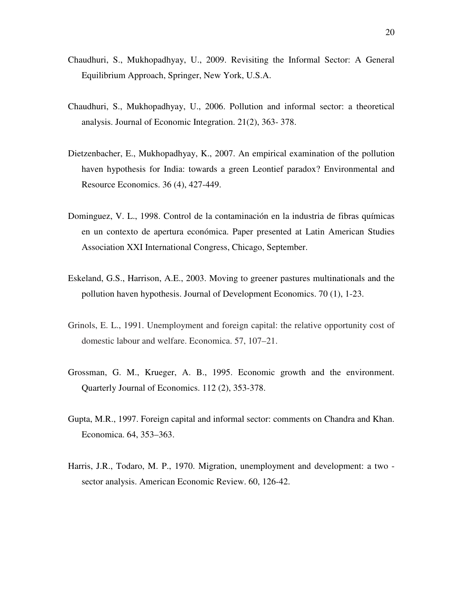- Chaudhuri, S., Mukhopadhyay, U., 2009. Revisiting the Informal Sector: A General Equilibrium Approach, Springer, New York, U.S.A.
- Chaudhuri, S., Mukhopadhyay, U., 2006. Pollution and informal sector: a theoretical analysis. Journal of Economic Integration. 21(2), 363- 378.
- Dietzenbacher, E., Mukhopadhyay, K., 2007. An empirical examination of the pollution haven hypothesis for India: towards a green Leontief paradox? Environmental and Resource Economics. 36 (4), 427-449.
- Dominguez, V. L., 1998. Control de la contaminación en la industria de fibras químicas en un contexto de apertura económica. Paper presented at Latin American Studies Association XXI International Congress, Chicago, September.
- Eskeland, G.S., Harrison, A.E., 2003. Moving to greener pastures multinationals and the pollution haven hypothesis. Journal of Development Economics. 70 (1), 1-23.
- Grinols, E. L., 1991. Unemployment and foreign capital: the relative opportunity cost of domestic labour and welfare. Economica. 57, 107–21.
- Grossman, G. M., Krueger, A. B., 1995. Economic growth and the environment. Quarterly Journal of Economics. 112 (2), 353-378.
- Gupta, M.R., 1997. Foreign capital and informal sector: comments on Chandra and Khan. Economica. 64, 353–363.
- Harris, J.R., Todaro, M. P., 1970. Migration, unemployment and development: a two sector analysis. American Economic Review. 60, 126-42.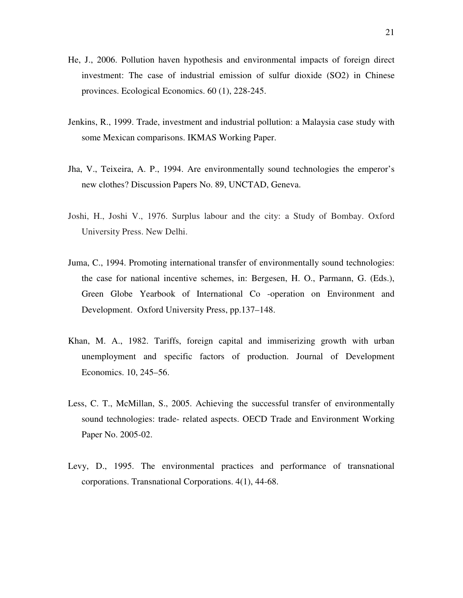- He, J., 2006. Pollution haven hypothesis and environmental impacts of foreign direct investment: The case of industrial emission of sulfur dioxide (SO2) in Chinese provinces. Ecological Economics. 60 (1), 228-245.
- Jenkins, R., 1999. Trade, investment and industrial pollution: a Malaysia case study with some Mexican comparisons. IKMAS Working Paper.
- Jha, V., Teixeira, A. P., 1994. Are environmentally sound technologies the emperor's new clothes? Discussion Papers No. 89, UNCTAD, Geneva.
- Joshi, H., Joshi V., 1976. Surplus labour and the city: a Study of Bombay. Oxford University Press. New Delhi.
- Juma, C., 1994. Promoting international transfer of environmentally sound technologies: the case for national incentive schemes, in: Bergesen, H. O., Parmann, G. (Eds.), Green Globe Yearbook of International Co -operation on Environment and Development. Oxford University Press, pp.137–148.
- Khan, M. A., 1982. Tariffs, foreign capital and immiserizing growth with urban unemployment and specific factors of production. Journal of Development Economics. 10, 245–56.
- Less, C. T., McMillan, S., 2005. Achieving the successful transfer of environmentally sound technologies: trade- related aspects. OECD Trade and Environment Working Paper No. 2005-02.
- Levy, D., 1995. The environmental practices and performance of transnational corporations. Transnational Corporations. 4(1), 44-68.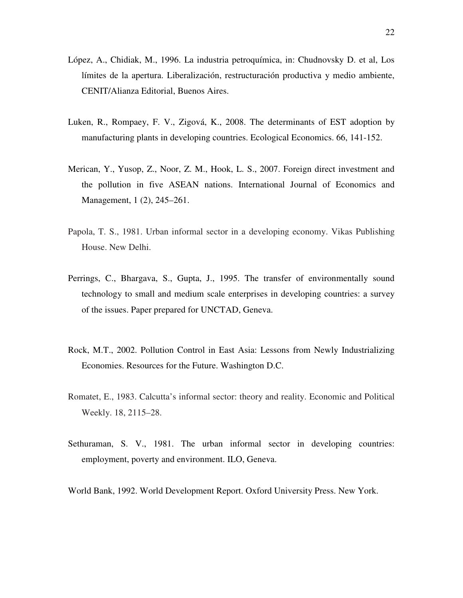- López, A., Chidiak, M., 1996. La industria petroquímica, in: Chudnovsky D. et al, Los límites de la apertura. Liberalización, restructuración productiva y medio ambiente, CENIT/Alianza Editorial, Buenos Aires.
- Luken, R., Rompaey, F. V., Zigová, K., 2008. The determinants of EST adoption by manufacturing plants in developing countries. Ecological Economics. 66, 141-152.
- Merican, Y., Yusop, Z., Noor, Z. M., Hook, L. S., 2007. Foreign direct investment and the pollution in five ASEAN nations. International Journal of Economics and Management, 1 (2), 245–261.
- Papola, T. S., 1981. Urban informal sector in a developing economy. Vikas Publishing House. New Delhi.
- Perrings, C., Bhargava, S., Gupta, J., 1995. The transfer of environmentally sound technology to small and medium scale enterprises in developing countries: a survey of the issues. Paper prepared for UNCTAD, Geneva.
- Rock, M.T., 2002. Pollution Control in East Asia: Lessons from Newly Industrializing Economies. Resources for the Future. Washington D.C.
- Romatet, E., 1983. Calcutta's informal sector: theory and reality. Economic and Political Weekly. 18, 2115–28.
- Sethuraman, S. V., 1981. The urban informal sector in developing countries: employment, poverty and environment. ILO, Geneva.
- World Bank, 1992. World Development Report. Oxford University Press. New York.